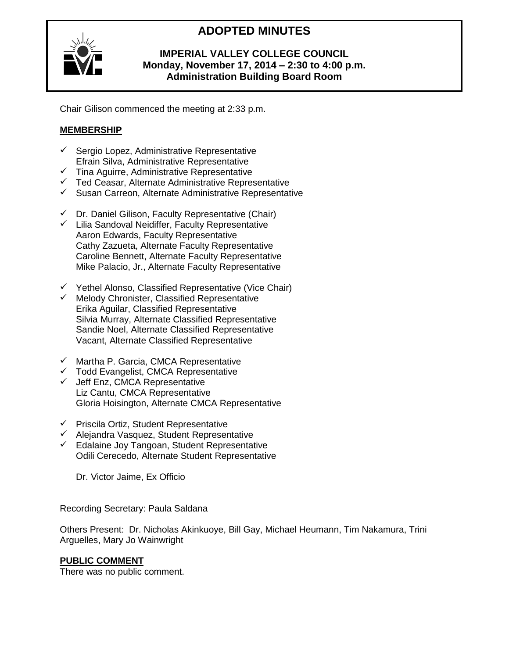# **ADOPTED MINUTES**



## **IMPERIAL VALLEY COLLEGE COUNCIL Monday, November 17, 2014 – 2:30 to 4:00 p.m. Administration Building Board Room**

Chair Gilison commenced the meeting at 2:33 p.m.

## **MEMBERSHIP**

- $\checkmark$  Sergio Lopez, Administrative Representative Efrain Silva, Administrative Representative
- $\checkmark$  Tina Aguirre, Administrative Representative
- $\checkmark$  Ted Ceasar, Alternate Administrative Representative
- $\checkmark$  Susan Carreon, Alternate Administrative Representative
- $\checkmark$  Dr. Daniel Gilison, Faculty Representative (Chair)
- $\checkmark$  Lilia Sandoval Neidiffer, Faculty Representative Aaron Edwards, Faculty Representative Cathy Zazueta, Alternate Faculty Representative Caroline Bennett, Alternate Faculty Representative Mike Palacio, Jr., Alternate Faculty Representative
- $\checkmark$  Yethel Alonso, Classified Representative (Vice Chair)
- $\checkmark$  Melody Chronister, Classified Representative Erika Aguilar, Classified Representative Silvia Murray, Alternate Classified Representative Sandie Noel, Alternate Classified Representative Vacant, Alternate Classified Representative
- $\checkmark$  Martha P. Garcia, CMCA Representative
- $\checkmark$  Todd Evangelist, CMCA Representative
- $\checkmark$  Jeff Enz, CMCA Representative Liz Cantu, CMCA Representative Gloria Hoisington, Alternate CMCA Representative
- $\checkmark$  Priscila Ortiz, Student Representative
- $\checkmark$  Alejandra Vasquez, Student Representative
- $\checkmark$  Edalaine Joy Tangoan, Student Representative Odili Cerecedo, Alternate Student Representative

Dr. Victor Jaime, Ex Officio

Recording Secretary: Paula Saldana

Others Present: Dr. Nicholas Akinkuoye, Bill Gay, Michael Heumann, Tim Nakamura, Trini Arguelles, Mary Jo Wainwright

## **PUBLIC COMMENT**

There was no public comment.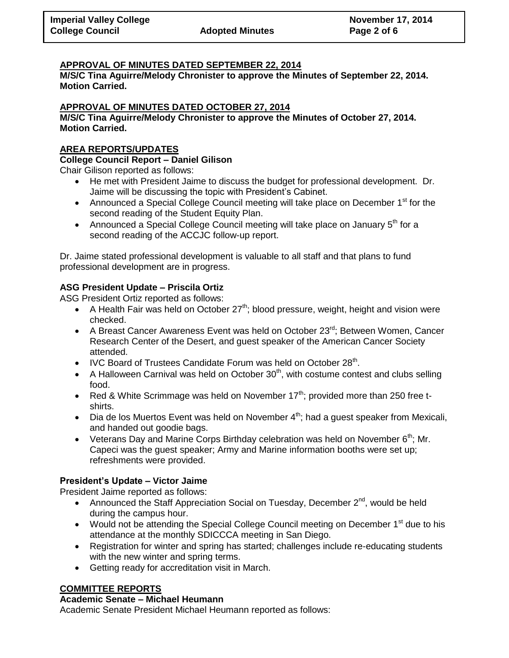## **APPROVAL OF MINUTES DATED SEPTEMBER 22, 2014**

**M/S/C Tina Aguirre/Melody Chronister to approve the Minutes of September 22, 2014. Motion Carried.**

## **APPROVAL OF MINUTES DATED OCTOBER 27, 2014**

**M/S/C Tina Aguirre/Melody Chronister to approve the Minutes of October 27, 2014. Motion Carried.**

## **AREA REPORTS/UPDATES**

## **College Council Report – Daniel Gilison**

Chair Gilison reported as follows:

- He met with President Jaime to discuss the budget for professional development. Dr. Jaime will be discussing the topic with President's Cabinet.
- Announced a Special College Council meeting will take place on December  $1<sup>st</sup>$  for the second reading of the Student Equity Plan.
- Announced a Special College Council meeting will take place on January  $5<sup>th</sup>$  for a second reading of the ACCJC follow-up report.

Dr. Jaime stated professional development is valuable to all staff and that plans to fund professional development are in progress.

## **ASG President Update – Priscila Ortiz**

ASG President Ortiz reported as follows:

- A Health Fair was held on October  $27<sup>th</sup>$ ; blood pressure, weight, height and vision were checked.
- A Breast Cancer Awareness Event was held on October  $23^{rd}$ ; Between Women, Cancer Research Center of the Desert, and guest speaker of the American Cancer Society attended.
- $\bullet$  IVC Board of Trustees Candidate Forum was held on October 28<sup>th</sup>.
- A Halloween Carnival was held on October  $30<sup>th</sup>$ , with costume contest and clubs selling food.
- Red & White Scrimmage was held on November  $17<sup>th</sup>$ ; provided more than 250 free tshirts.
- $\bullet$  Dia de los Muertos Event was held on November  $4<sup>th</sup>$ ; had a guest speaker from Mexicali, and handed out goodie bags.
- Veterans Day and Marine Corps Birthday celebration was held on November  $6<sup>th</sup>$ ; Mr. Capeci was the guest speaker; Army and Marine information booths were set up; refreshments were provided.

## **President's Update – Victor Jaime**

President Jaime reported as follows:

- Announced the Staff Appreciation Social on Tuesday, December  $2^{nd}$ , would be held during the campus hour.
- Would not be attending the Special College Council meeting on December  $1<sup>st</sup>$  due to his attendance at the monthly SDICCCA meeting in San Diego.
- Registration for winter and spring has started; challenges include re-educating students with the new winter and spring terms.
- Getting ready for accreditation visit in March.

## **COMMITTEE REPORTS**

## **Academic Senate – Michael Heumann**

Academic Senate President Michael Heumann reported as follows: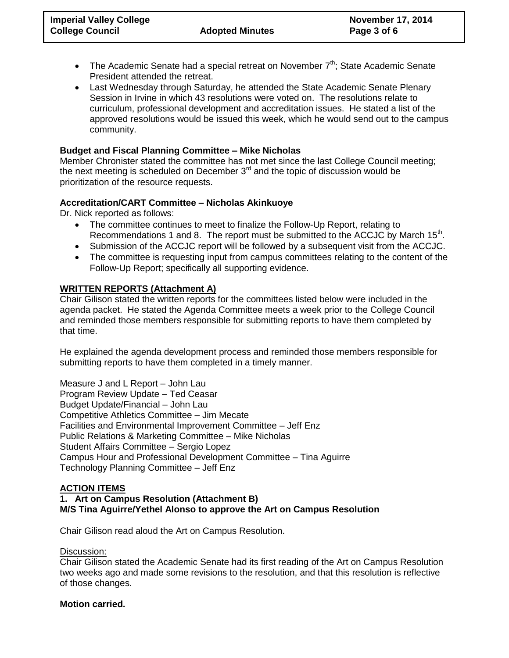- The Academic Senate had a special retreat on November  $7<sup>th</sup>$ ; State Academic Senate President attended the retreat.
- Last Wednesday through Saturday, he attended the State Academic Senate Plenary Session in Irvine in which 43 resolutions were voted on. The resolutions relate to curriculum, professional development and accreditation issues. He stated a list of the approved resolutions would be issued this week, which he would send out to the campus community.

## **Budget and Fiscal Planning Committee – Mike Nicholas**

Member Chronister stated the committee has not met since the last College Council meeting; the next meeting is scheduled on December 3<sup>rd</sup> and the topic of discussion would be prioritization of the resource requests.

## **Accreditation/CART Committee – Nicholas Akinkuoye**

Dr. Nick reported as follows:

- The committee continues to meet to finalize the Follow-Up Report, relating to Recommendations 1 and 8. The report must be submitted to the ACCJC by March  $15<sup>th</sup>$ .
- Submission of the ACCJC report will be followed by a subsequent visit from the ACCJC.
- The committee is requesting input from campus committees relating to the content of the Follow-Up Report; specifically all supporting evidence.

## **WRITTEN REPORTS (Attachment A)**

Chair Gilison stated the written reports for the committees listed below were included in the agenda packet. He stated the Agenda Committee meets a week prior to the College Council and reminded those members responsible for submitting reports to have them completed by that time.

He explained the agenda development process and reminded those members responsible for submitting reports to have them completed in a timely manner.

Measure J and L Report – John Lau Program Review Update – Ted Ceasar Budget Update/Financial – John Lau Competitive Athletics Committee – Jim Mecate Facilities and Environmental Improvement Committee – Jeff Enz Public Relations & Marketing Committee – Mike Nicholas Student Affairs Committee – Sergio Lopez Campus Hour and Professional Development Committee – Tina Aguirre Technology Planning Committee – Jeff Enz

## **ACTION ITEMS**

**1. Art on Campus Resolution (Attachment B) M/S Tina Aguirre/Yethel Alonso to approve the Art on Campus Resolution**

Chair Gilison read aloud the Art on Campus Resolution.

## Discussion:

Chair Gilison stated the Academic Senate had its first reading of the Art on Campus Resolution two weeks ago and made some revisions to the resolution, and that this resolution is reflective of those changes.

## **Motion carried.**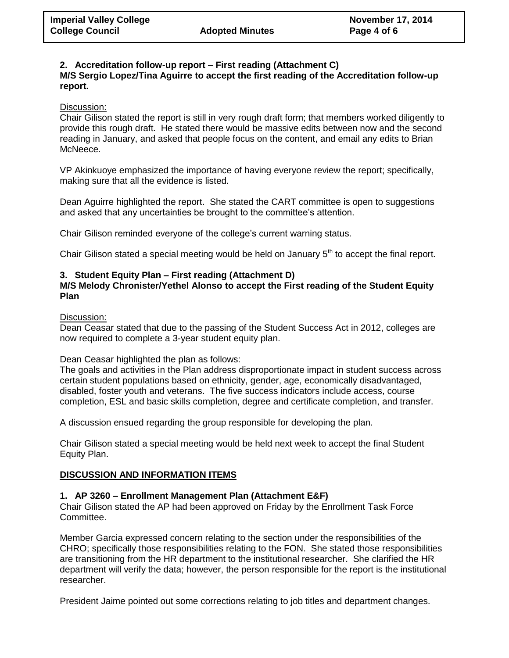## **2. Accreditation follow-up report – First reading (Attachment C)**

**M/S Sergio Lopez/Tina Aguirre to accept the first reading of the Accreditation follow-up report.**

## Discussion:

Chair Gilison stated the report is still in very rough draft form; that members worked diligently to provide this rough draft. He stated there would be massive edits between now and the second reading in January, and asked that people focus on the content, and email any edits to Brian McNeece.

VP Akinkuoye emphasized the importance of having everyone review the report; specifically, making sure that all the evidence is listed.

Dean Aguirre highlighted the report. She stated the CART committee is open to suggestions and asked that any uncertainties be brought to the committee's attention.

Chair Gilison reminded everyone of the college's current warning status.

Chair Gilison stated a special meeting would be held on January  $5<sup>th</sup>$  to accept the final report.

## **3. Student Equity Plan – First reading (Attachment D)**

## **M/S Melody Chronister/Yethel Alonso to accept the First reading of the Student Equity Plan**

Discussion:

Dean Ceasar stated that due to the passing of the Student Success Act in 2012, colleges are now required to complete a 3-year student equity plan.

## Dean Ceasar highlighted the plan as follows:

The goals and activities in the Plan address disproportionate impact in student success across certain student populations based on ethnicity, gender, age, economically disadvantaged, disabled, foster youth and veterans. The five success indicators include access, course completion, ESL and basic skills completion, degree and certificate completion, and transfer.

A discussion ensued regarding the group responsible for developing the plan.

Chair Gilison stated a special meeting would be held next week to accept the final Student Equity Plan.

## **DISCUSSION AND INFORMATION ITEMS**

## **1. AP 3260 – Enrollment Management Plan (Attachment E&F)**

Chair Gilison stated the AP had been approved on Friday by the Enrollment Task Force Committee.

Member Garcia expressed concern relating to the section under the responsibilities of the CHRO; specifically those responsibilities relating to the FON. She stated those responsibilities are transitioning from the HR department to the institutional researcher. She clarified the HR department will verify the data; however, the person responsible for the report is the institutional researcher.

President Jaime pointed out some corrections relating to job titles and department changes.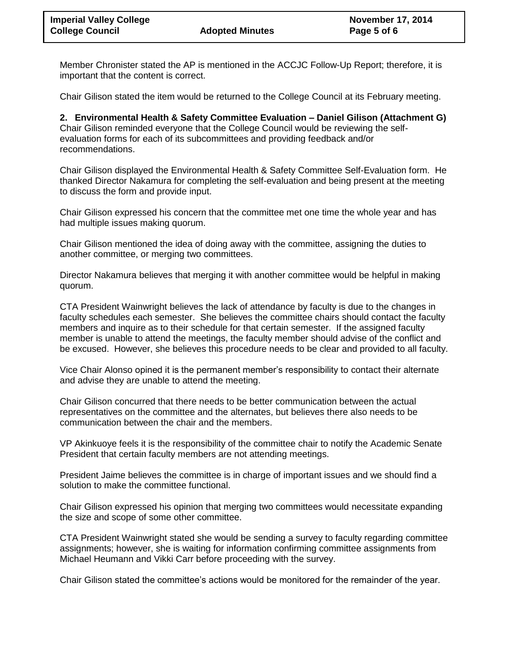Member Chronister stated the AP is mentioned in the ACCJC Follow-Up Report; therefore, it is important that the content is correct.

Chair Gilison stated the item would be returned to the College Council at its February meeting.

**2. Environmental Health & Safety Committee Evaluation – Daniel Gilison (Attachment G)** Chair Gilison reminded everyone that the College Council would be reviewing the selfevaluation forms for each of its subcommittees and providing feedback and/or recommendations.

Chair Gilison displayed the Environmental Health & Safety Committee Self-Evaluation form. He thanked Director Nakamura for completing the self-evaluation and being present at the meeting to discuss the form and provide input.

Chair Gilison expressed his concern that the committee met one time the whole year and has had multiple issues making quorum.

Chair Gilison mentioned the idea of doing away with the committee, assigning the duties to another committee, or merging two committees.

Director Nakamura believes that merging it with another committee would be helpful in making quorum.

CTA President Wainwright believes the lack of attendance by faculty is due to the changes in faculty schedules each semester. She believes the committee chairs should contact the faculty members and inquire as to their schedule for that certain semester. If the assigned faculty member is unable to attend the meetings, the faculty member should advise of the conflict and be excused. However, she believes this procedure needs to be clear and provided to all faculty.

Vice Chair Alonso opined it is the permanent member's responsibility to contact their alternate and advise they are unable to attend the meeting.

Chair Gilison concurred that there needs to be better communication between the actual representatives on the committee and the alternates, but believes there also needs to be communication between the chair and the members.

VP Akinkuoye feels it is the responsibility of the committee chair to notify the Academic Senate President that certain faculty members are not attending meetings.

President Jaime believes the committee is in charge of important issues and we should find a solution to make the committee functional.

Chair Gilison expressed his opinion that merging two committees would necessitate expanding the size and scope of some other committee.

CTA President Wainwright stated she would be sending a survey to faculty regarding committee assignments; however, she is waiting for information confirming committee assignments from Michael Heumann and Vikki Carr before proceeding with the survey.

Chair Gilison stated the committee's actions would be monitored for the remainder of the year.